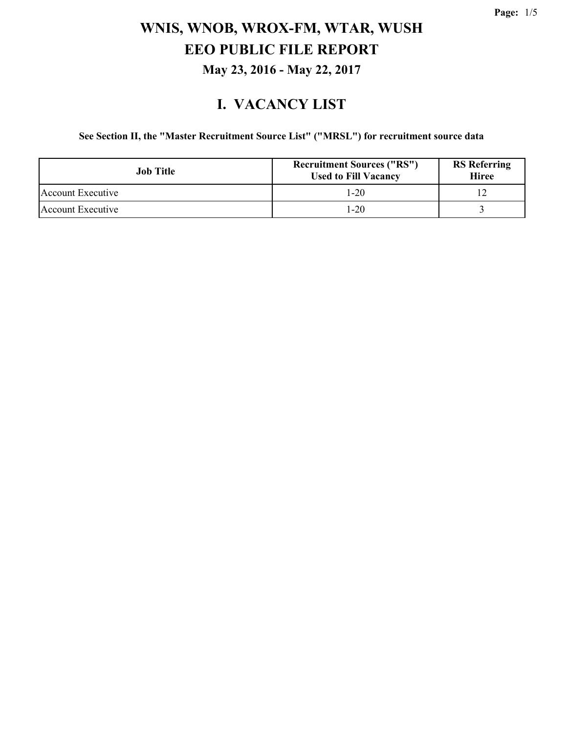### **I. VACANCY LIST**

#### **See Section II, the "Master Recruitment Source List" ("MRSL") for recruitment source data**

| <b>Job</b> Title  | <b>Recruitment Sources ("RS")</b><br><b>Used to Fill Vacancy</b> | <b>RS</b> Referring<br><b>Hiree</b> |
|-------------------|------------------------------------------------------------------|-------------------------------------|
| Account Executive | $1-20$                                                           |                                     |
| Account Executive | 1-20                                                             |                                     |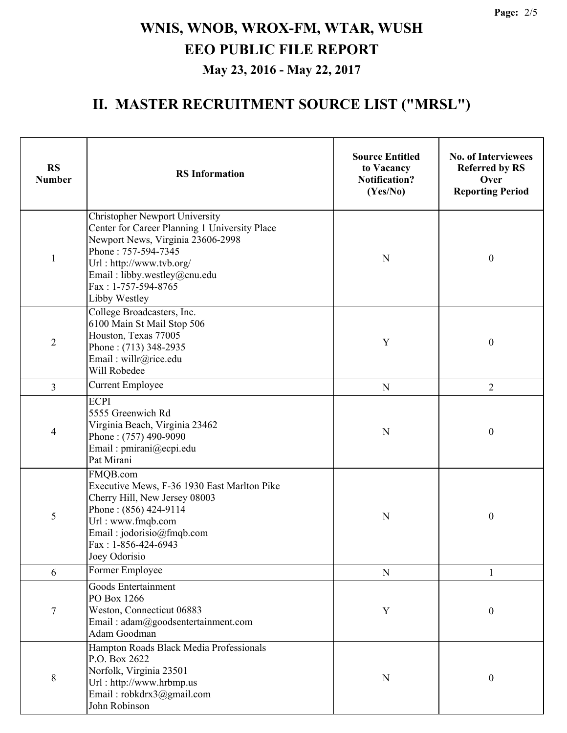### **II. MASTER RECRUITMENT SOURCE LIST ("MRSL")**

| <b>RS</b><br><b>Number</b> | <b>RS</b> Information                                                                                                                                                                                                                                  | <b>Source Entitled</b><br>to Vacancy<br><b>Notification?</b><br>(Yes/No) | <b>No. of Interviewees</b><br><b>Referred by RS</b><br>Over<br><b>Reporting Period</b> |
|----------------------------|--------------------------------------------------------------------------------------------------------------------------------------------------------------------------------------------------------------------------------------------------------|--------------------------------------------------------------------------|----------------------------------------------------------------------------------------|
| $\mathbf{1}$               | <b>Christopher Newport University</b><br>Center for Career Planning 1 University Place<br>Newport News, Virginia 23606-2998<br>Phone: 757-594-7345<br>Url: http://www.tvb.org/<br>Email: libby.westley@cnu.edu<br>Fax: 1-757-594-8765<br>Libby Westley | ${\bf N}$                                                                | $\boldsymbol{0}$                                                                       |
| $\overline{2}$             | College Broadcasters, Inc.<br>6100 Main St Mail Stop 506<br>Houston, Texas 77005<br>Phone: (713) 348-2935<br>Email: willr@rice.edu<br>Will Robedee                                                                                                     | Y                                                                        | $\boldsymbol{0}$                                                                       |
| $\overline{3}$             | <b>Current Employee</b>                                                                                                                                                                                                                                | ${\bf N}$                                                                | $\overline{2}$                                                                         |
| 4                          | <b>ECPI</b><br>5555 Greenwich Rd<br>Virginia Beach, Virginia 23462<br>Phone: (757) 490-9090<br>Email: pmirani@ecpi.edu<br>Pat Mirani                                                                                                                   | $\mathbf N$                                                              | $\boldsymbol{0}$                                                                       |
| 5                          | FMQB.com<br>Executive Mews, F-36 1930 East Marlton Pike<br>Cherry Hill, New Jersey 08003<br>Phone: (856) 424-9114<br>Url: www.fmqb.com<br>Email: jodorisio@fmqb.com<br>Fax: 1-856-424-6943<br>Joey Odorisio                                            | ${\bf N}$                                                                | $\boldsymbol{0}$                                                                       |
| 6                          | Former Employee                                                                                                                                                                                                                                        | ${\bf N}$                                                                |                                                                                        |
| 7                          | Goods Entertainment<br>PO Box 1266<br>Weston, Connecticut 06883<br>Email: adam@goodsentertainment.com<br>Adam Goodman                                                                                                                                  | Y                                                                        | $\boldsymbol{0}$                                                                       |
| 8                          | Hampton Roads Black Media Professionals<br>P.O. Box 2622<br>Norfolk, Virginia 23501<br>Url: http://www.hrbmp.us<br>Email: robkdrx3@gmail.com<br>John Robinson                                                                                          | $\mathbf N$                                                              | $\boldsymbol{0}$                                                                       |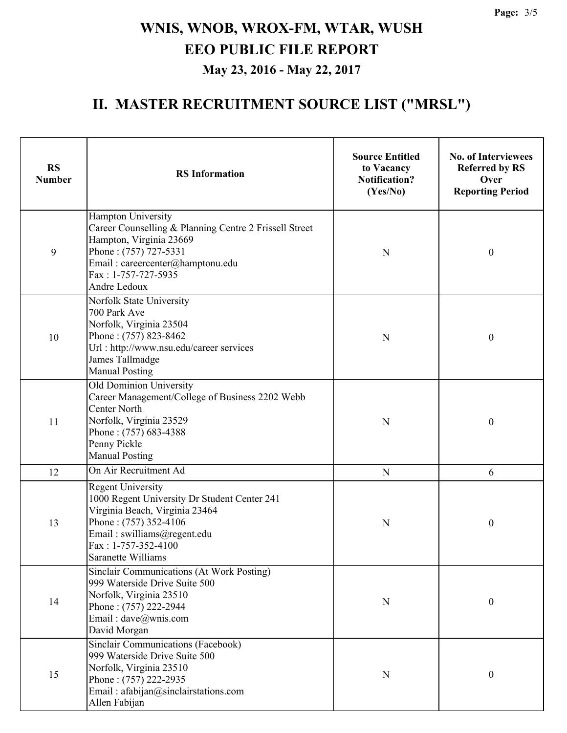### **II. MASTER RECRUITMENT SOURCE LIST ("MRSL")**

| <b>RS</b><br><b>Number</b> | <b>RS</b> Information                                                                                                                                                                                           | <b>Source Entitled</b><br>to Vacancy<br><b>Notification?</b><br>(Yes/No) | <b>No. of Interviewees</b><br><b>Referred by RS</b><br>Over<br><b>Reporting Period</b> |
|----------------------------|-----------------------------------------------------------------------------------------------------------------------------------------------------------------------------------------------------------------|--------------------------------------------------------------------------|----------------------------------------------------------------------------------------|
| 9                          | Hampton University<br>Career Counselling & Planning Centre 2 Frissell Street<br>Hampton, Virginia 23669<br>Phone: (757) 727-5331<br>Email: careercenter@hamptonu.edu<br>Fax: 1-757-727-5935<br>Andre Ledoux     | $\mathbf N$                                                              | $\boldsymbol{0}$                                                                       |
| 10                         | Norfolk State University<br>700 Park Ave<br>Norfolk, Virginia 23504<br>Phone: (757) 823-8462<br>Url : http://www.nsu.edu/career services<br>James Tallmadge<br><b>Manual Posting</b>                            | N                                                                        | $\boldsymbol{0}$                                                                       |
| 11                         | Old Dominion University<br>Career Management/College of Business 2202 Webb<br><b>Center North</b><br>Norfolk, Virginia 23529<br>Phone: (757) 683-4388<br>Penny Pickle<br><b>Manual Posting</b>                  | $\mathbf N$                                                              | $\boldsymbol{0}$                                                                       |
| 12                         | On Air Recruitment Ad                                                                                                                                                                                           | ${\bf N}$                                                                | 6                                                                                      |
| 13                         | <b>Regent University</b><br>1000 Regent University Dr Student Center 241<br>Virginia Beach, Virginia 23464<br>Phone: (757) 352-4106<br>Email: swilliams@regent.edu<br>Fax: 1-757-352-4100<br>Saranette Williams | N                                                                        | $\boldsymbol{0}$                                                                       |
| 14                         | <b>Sinclair Communications (At Work Posting)</b><br>999 Waterside Drive Suite 500<br>Norfolk, Virginia 23510<br>Phone: (757) 222-2944<br>Email: dave@wnis.com<br>David Morgan                                   | $\mathbf N$                                                              | $\boldsymbol{0}$                                                                       |
| 15                         | Sinclair Communications (Facebook)<br>999 Waterside Drive Suite 500<br>Norfolk, Virginia 23510<br>Phone: (757) 222-2935<br>Email: afabijan@sinclairstations.com<br>Allen Fabijan                                | $\mathbf N$                                                              | $\boldsymbol{0}$                                                                       |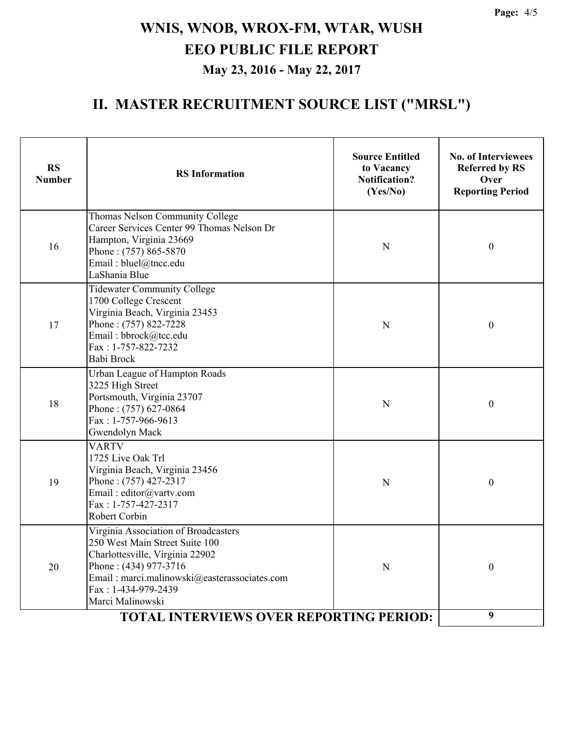### **II. MASTER RECRUITMENT SOURCE LIST ("MRSL")**

| <b>RS</b><br><b>Number</b>                     | <b>RS</b> Information                                                                                                                                                                                                         | <b>Source Entitled</b><br>to Vacancy<br><b>Notification?</b><br>(Yes/No) | <b>No. of Interviewees</b><br><b>Referred by RS</b><br>Over<br><b>Reporting Period</b> |
|------------------------------------------------|-------------------------------------------------------------------------------------------------------------------------------------------------------------------------------------------------------------------------------|--------------------------------------------------------------------------|----------------------------------------------------------------------------------------|
| 16                                             | Thomas Nelson Community College<br>Career Services Center 99 Thomas Nelson Dr<br>Hampton, Virginia 23669<br>Phone: (757) 865-5870<br>Email: bluel@tncc.edu<br>LaShania Blue                                                   | $\mathbf N$                                                              | $\boldsymbol{0}$                                                                       |
| 17                                             | <b>Tidewater Community College</b><br>1700 College Crescent<br>Virginia Beach, Virginia 23453<br>Phone: (757) 822-7228<br>Email: bbrock@tcc.edu<br>Fax: 1-757-822-7232<br>Babi Brock                                          | N                                                                        | $\boldsymbol{0}$                                                                       |
| 18                                             | Urban League of Hampton Roads<br>3225 High Street<br>Portsmouth, Virginia 23707<br>Phone: (757) 627-0864<br>Fax: 1-757-966-9613<br>Gwendolyn Mack                                                                             | N                                                                        | $\boldsymbol{0}$                                                                       |
| 19                                             | <b>VARTV</b><br>1725 Live Oak Trl<br>Virginia Beach, Virginia 23456<br>Phone: (757) 427-2317<br>Email: editor@vartv.com<br>Fax: 1-757-427-2317<br>Robert Corbin                                                               | $\mathbf N$                                                              | $\boldsymbol{0}$                                                                       |
| 20                                             | Virginia Association of Broadcasters<br>250 West Main Street Suite 100<br>Charlottesville, Virginia 22902<br>Phone: (434) 977-3716<br>Email: marci.malinowski@easterassociates.com<br>Fax: 1-434-979-2439<br>Marci Malinowski | N                                                                        | $\boldsymbol{0}$                                                                       |
| <b>TOTAL INTERVIEWS OVER REPORTING PERIOD:</b> |                                                                                                                                                                                                                               |                                                                          | 9                                                                                      |